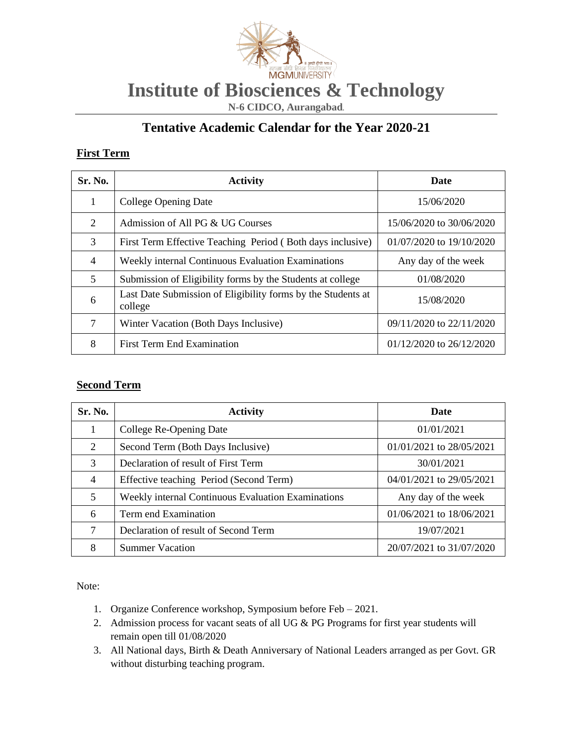

# **Institute of Biosciences & Technology**

**N-6 CIDCO, Aurangabad.**

### **Tentative Academic Calendar for the Year 2020-21**

### **First Term**

| Sr. No. | <b>Activity</b>                                                         | Date                         |
|---------|-------------------------------------------------------------------------|------------------------------|
| 1       | College Opening Date                                                    | 15/06/2020                   |
| 2       | Admission of All PG & UG Courses                                        | 15/06/2020 to 30/06/2020     |
| 3       | First Term Effective Teaching Period (Both days inclusive)              | 01/07/2020 to 19/10/2020     |
| 4       | Weekly internal Continuous Evaluation Examinations                      | Any day of the week          |
| 5       | Submission of Eligibility forms by the Students at college              | 01/08/2020                   |
| 6       | Last Date Submission of Eligibility forms by the Students at<br>college | 15/08/2020                   |
| 7       | Winter Vacation (Both Days Inclusive)                                   | 09/11/2020 to 22/11/2020     |
| 8       | <b>First Term End Examination</b>                                       | $01/12/2020$ to $26/12/2020$ |

#### **Second Term**

| Sr. No.        | <b>Activity</b>                                    | Date                     |
|----------------|----------------------------------------------------|--------------------------|
|                | College Re-Opening Date                            | 01/01/2021               |
| 2              | Second Term (Both Days Inclusive)                  | 01/01/2021 to 28/05/2021 |
| 3              | Declaration of result of First Term                | 30/01/2021               |
| $\overline{4}$ | Effective teaching Period (Second Term)            | 04/01/2021 to 29/05/2021 |
| 5              | Weekly internal Continuous Evaluation Examinations | Any day of the week      |
| 6              | Term end Examination                               | 01/06/2021 to 18/06/2021 |
| 7              | Declaration of result of Second Term               | 19/07/2021               |
| 8              | <b>Summer Vacation</b>                             | 20/07/2021 to 31/07/2020 |

Note:

- 1. Organize Conference workshop, Symposium before Feb 2021.
- 2. Admission process for vacant seats of all UG & PG Programs for first year students will remain open till 01/08/2020
- 3. All National days, Birth & Death Anniversary of National Leaders arranged as per Govt. GR without disturbing teaching program.